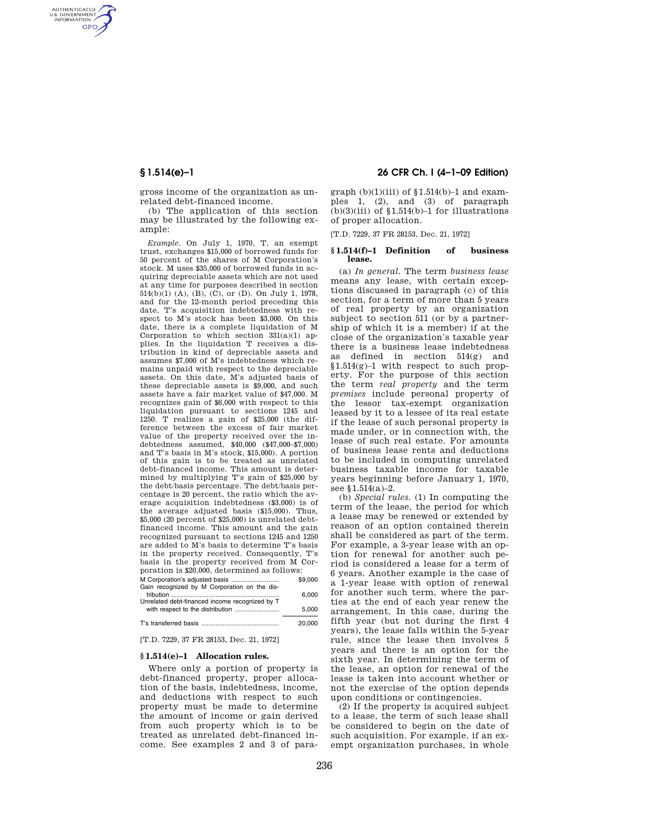AUTHENTICATED<br>U.S. GOVERNMENT<br>INFORMATION **GPO** 

> gross income of the organization as unrelated debt-financed income.

> (b) The application of this section may be illustrated by the following example:

*Example.* On July 1, 1970, T, an exempt trust, exchanges \$15,000 of borrowed funds for 50 percent of the shares of M Corporation's stock. M uses \$35,000 of borrowed funds in acquiring depreciable assets which are not used at any time for purposes described in section 514(b)(1) (A), (B), (C), or (D). On July 1, 1978, and for the 12-month period preceding this date, T's acquisition indebtedness with respect to M's stock has been \$3,000. On this date, there is a complete liquidation of M Corporation to which section  $331(a)(1)$  applies. In the liquidation T receives a distribution in kind of depreciable assets and assumes \$7,000 of M's indebtedness which remains unpaid with respect to the depreciable assets. On this date, M's adjusted basis of these depreciable assets is \$9,000, and such assets have a fair market value of \$47,000. M recognizes gain of \$6,000 with respect to this liquidation pursuant to sections 1245 and 1250. T realizes a gain of \$25,000 (the difference between the excess of fair market value of the property received over the indebtedness assumed, \$40,000 (\$47,000–\$7,000) and T's basis in M's stock, \$15,000). A portion of this gain is to be treated as unrelated debt-financed income. This amount is determined by multiplying T's gain of \$25,000 by the debt/basis percentage. The debt/basis percentage is 20 percent, the ratio which the average acquisition indebtedness (\$3,000) is of the average adjusted basis (\$15,000). Thus, \$5,000 (20 percent of \$25,000) is unrelated debtfinanced income. This amount and the gain recognized pursuant to sections 1245 and 1250 are added to M's basis to determine T's basis in the property received. Consequently, T's basis in the property received from M Corporation is \$20,000, determined as follows:

|                                                | \$9,000 |
|------------------------------------------------|---------|
| Gain recognized by M Corporation on the dis-   |         |
|                                                | 6.000   |
| Unrelated debt-financed income recognized by T |         |
| with respect to the distribution               | 5.000   |
|                                                |         |
|                                                | 20,000  |

[T.D. 7229, 37 FR 28153, Dec. 21, 1972]

## **§ 1.514(e)–1 Allocation rules.**

Where only a portion of property is debt-financed property, proper allocation of the basis, indebtedness, income, and deductions with respect to such property must be made to determine the amount of income or gain derived from such property which is to be treated as unrelated debt-financed income. See examples 2 and 3 of para-

## **§ 1.514(e)–1 26 CFR Ch. I (4–1–09 Edition)**

graph  $(b)(1)(iii)$  of  $$1.514(b)-1$  and examples 1, (2), and (3) of paragraph  $(b)(3)(iii)$  of  $$1.514(b)-1$  for illustrations of proper allocation.

[T.D. 7229, 37 FR 28153, Dec. 21, 1972]

### **§ 1.514(f)–1 Definition of business lease.**

(a) *In general.* The term *business lease*  means any lease, with certain exceptions discussed in paragraph (c) of this section, for a term of more than 5 years of real property by an organization subject to section 511 (or by a partnership of which it is a member) if at the close of the organization's taxable year there is a business lease indebtedness as defined in section 514(g) and §1.514(g)–1 with respect to such property. For the purpose of this section the term *real property* and the term *premises* include personal property of the lessor tax-exempt organization leased by it to a lessee of its real estate if the lease of such personal property is made under, or in connection with, the lease of such real estate. For amounts of business lease rents and deductions to be included in computing unrelated business taxable income for taxable years beginning before January 1, 1970, see §1.514(a)–2.

(b) *Special rules.* (1) In computing the term of the lease, the period for which a lease may be renewed or extended by reason of an option contained therein shall be considered as part of the term. For example, a 3-year lease with an option for renewal for another such period is considered a lease for a term of 6 years. Another example is the case of a 1-year lease with option of renewal for another such term, where the parties at the end of each year renew the arrangement. In this case, during the fifth year (but not during the first 4 years), the lease falls within the 5-year rule, since the lease then involves 5 years and there is an option for the sixth year. In determining the term of the lease, an option for renewal of the lease is taken into account whether or not the exercise of the option depends upon conditions or contingencies.

(2) If the property is acquired subject to a lease, the term of such lease shall be considered to begin on the date of such acquisition. For example, if an exempt organization purchases, in whole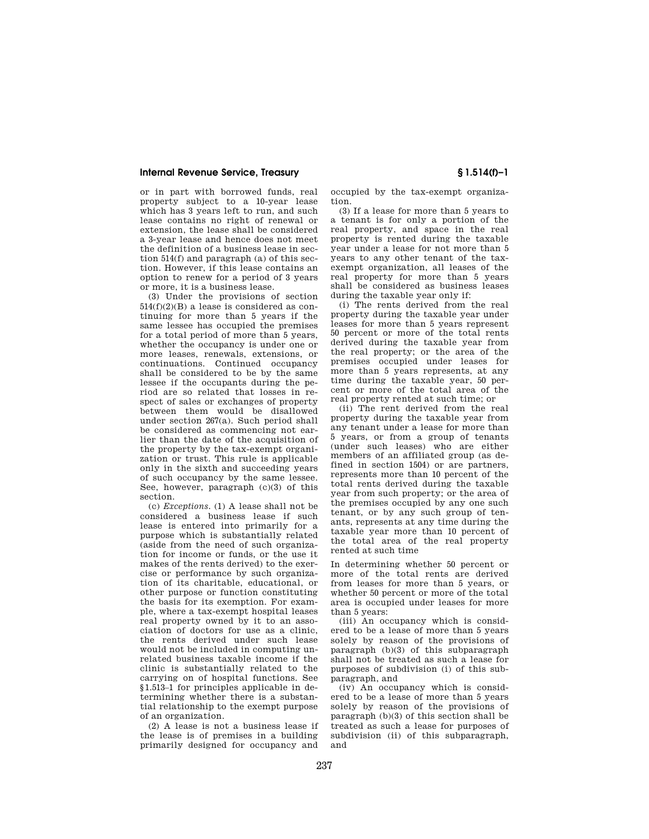## **Internal Revenue Service, Treasury § 1.514(f)–1**

or in part with borrowed funds, real property subject to a 10-year lease which has 3 years left to run, and such lease contains no right of renewal or extension, the lease shall be considered a 3-year lease and hence does not meet the definition of a business lease in section 514(f) and paragraph (a) of this section. However, if this lease contains an option to renew for a period of 3 years or more, it is a business lease.

(3) Under the provisions of section  $514(f)(2)(B)$  a lease is considered as continuing for more than 5 years if the same lessee has occupied the premises for a total period of more than 5 years, whether the occupancy is under one or more leases, renewals, extensions, or continuations. Continued occupancy shall be considered to be by the same lessee if the occupants during the period are so related that losses in respect of sales or exchanges of property between them would be disallowed under section 267(a). Such period shall be considered as commencing not earlier than the date of the acquisition of the property by the tax-exempt organization or trust. This rule is applicable only in the sixth and succeeding years of such occupancy by the same lessee. See, however, paragraph (c)(3) of this section.

(c) *Exceptions.* (1) A lease shall not be considered a business lease if such lease is entered into primarily for a purpose which is substantially related (aside from the need of such organization for income or funds, or the use it makes of the rents derived) to the exercise or performance by such organization of its charitable, educational, or other purpose or function constituting the basis for its exemption. For example, where a tax-exempt hospital leases real property owned by it to an association of doctors for use as a clinic, the rents derived under such lease would not be included in computing unrelated business taxable income if the clinic is substantially related to the carrying on of hospital functions. See §1.513–1 for principles applicable in determining whether there is a substantial relationship to the exempt purpose of an organization.

(2) A lease is not a business lease if the lease is of premises in a building primarily designed for occupancy and occupied by the tax-exempt organization.

(3) If a lease for more than 5 years to a tenant is for only a portion of the real property, and space in the real property is rented during the taxable year under a lease for not more than 5 years to any other tenant of the taxexempt organization, all leases of the real property for more than 5 years shall be considered as business leases during the taxable year only if:

(i) The rents derived from the real property during the taxable year under leases for more than 5 years represent 50 percent or more of the total rents derived during the taxable year from the real property; or the area of the premises occupied under leases for more than 5 years represents, at any time during the taxable year, 50 percent or more of the total area of the real property rented at such time; or

(ii) The rent derived from the real property during the taxable year from any tenant under a lease for more than 5 years, or from a group of tenants (under such leases) who are either members of an affiliated group (as defined in section 1504) or are partners, represents more than 10 percent of the total rents derived during the taxable year from such property; or the area of the premises occupied by any one such tenant, or by any such group of tenants, represents at any time during the taxable year more than 10 percent of the total area of the real property rented at such time

In determining whether 50 percent or more of the total rents are derived from leases for more than 5 years, or whether 50 percent or more of the total area is occupied under leases for more than 5 years:

(iii) An occupancy which is considered to be a lease of more than 5 years solely by reason of the provisions of paragraph (b)(3) of this subparagraph shall not be treated as such a lease for purposes of subdivision (i) of this subparagraph, and

(iv) An occupancy which is considered to be a lease of more than 5 years solely by reason of the provisions of paragraph (b)(3) of this section shall be treated as such a lease for purposes of subdivision (ii) of this subparagraph, and